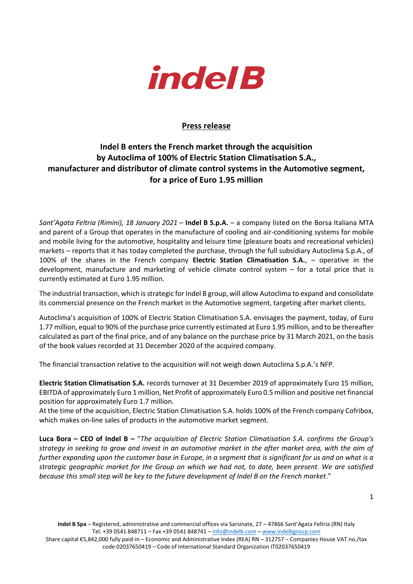

## **Press release**

## **Indel B enters the French market through the acquisition by Autoclima of 100% of Electric Station Climatisation S.A., manufacturer and distributor of climate control systems in the Automotive segment, for a price of Euro 1.95 million**

*Sant'Agata Feltria (Rimini), 18 January 2021* – **Indel B S.p.A.** – a company listed on the Borsa Italiana MTA and parent of a Group that operates in the manufacture of cooling and air-conditioning systems for mobile and mobile living for the automotive, hospitality and leisure time (pleasure boats and recreational vehicles) markets – reports that it has today completed the purchase, through the full subsidiary Autoclima S.p.A., of 100% of the shares in the French company **Electric Station Climatisation S.A.**, – operative in the development, manufacture and marketing of vehicle climate control system – for a total price that is currently estimated at Euro 1.95 million.

The industrial transaction, which is strategic for Indel B group, will allow Autoclima to expand and consolidate its commercial presence on the French market in the Automotive segment, targeting after market clients.

Autoclima's acquisition of 100% of Electric Station Climatisation S.A. envisages the payment, today, of Euro 1.77 million, equal to 90% of the purchase price currently estimated at Euro 1.95 million, and to be thereafter calculated as part of the final price, and of any balance on the purchase price by 31 March 2021, on the basis of the book values recorded at 31 December 2020 of the acquired company.

The financial transaction relative to the acquisition will not weigh down Autoclima S.p.A.'s NFP.

**Electric Station Climatisation S.A.** records turnover at 31 December 2019 of approximately Euro 15 million, EBITDA of approximately Euro 1 million, Net Profit of approximately Euro 0.5 million and positive net financial position for approximately Euro 1.7 million.

At the time of the acquisition, Electric Station Climatisation S.A. holds 100% of the French company Cofribox, which makes on-line sales of products in the automotive market segment.

**Luca Bora – CEO of Indel B –** "*The acquisition of Electric Station Climatisation S.A. confirms the Group's strategy in seeking to grow and invest in an automotive market in the after market area, with the aim of further expanding upon the customer base in Europe, in a segment that is significant for us and on what is a strategic geographic market for the Group on which we had not, to date, been present. We are satisfied because this small step will be key to the future development of Indel B on the French market*."

Share capital €5,842,000 fully paid-in – Economic and Administrative Index (REA) RN – 312757 – Companies House VAT no./tax code 02037650419 – Code of International Standard Organization IT02037650419